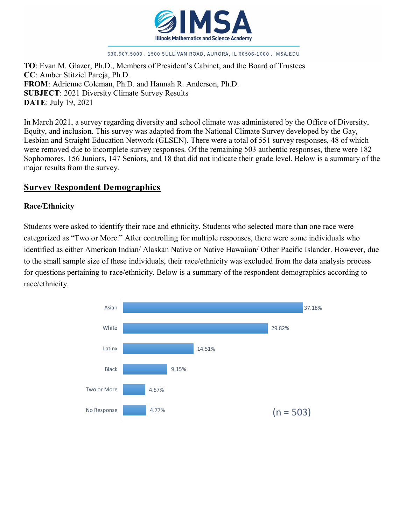

#### 630.907.5000.1500 SULLIVAN ROAD, AURORA, IL 60506-1000. IMSA.EDU

**TO**: Evan M. Glazer, Ph.D., Members of President's Cabinet, and the Board of Trustees **CC**: Amber Stitziel Pareja, Ph.D. **FROM**: Adrienne Coleman, Ph.D. and Hannah R. Anderson, Ph.D. **SUBJECT**: 2021 Diversity Climate Survey Results **DATE**: July 19, 2021

In March 2021, a survey regarding diversity and school climate was administered by the Office of Diversity, Equity, and inclusion. This survey was adapted from the National Climate Survey developed by the Gay, Lesbian and Straight Education Network (GLSEN). There were a total of 551 survey responses, 48 of which were removed due to incomplete survey responses. Of the remaining 503 authentic responses, there were 182 Sophomores, 156 Juniors, 147 Seniors, and 18 that did not indicate their grade level. Below is a summary of the major results from the survey.

### **Survey Respondent Demographics**

#### **Race/Ethnicity**

Students were asked to identify their race and ethnicity. Students who selected more than one race were categorized as "Two or More." After controlling for multiple responses, there were some individuals who identified as either American Indian/ Alaskan Native or Native Hawaiian/ Other Pacific Islander. However, due to the small sample size of these individuals, their race/ethnicity was excluded from the data analysis process for questions pertaining to race/ethnicity. Below is a summary of the respondent demographics according to race/ethnicity.

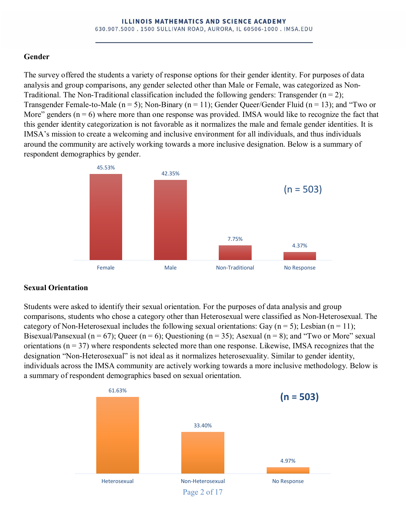### **Gender**

The survey offered the students a variety of response options for their gender identity. For purposes of data analysis and group comparisons, any gender selected other than Male or Female, was categorized as Non-Traditional. The Non-Traditional classification included the following genders: Transgender  $(n = 2)$ ; Transgender Female-to-Male ( $n = 5$ ); Non-Binary ( $n = 11$ ); Gender Queer/Gender Fluid ( $n = 13$ ); and "Two or More" genders  $(n = 6)$  where more than one response was provided. IMSA would like to recognize the fact that this gender identity categorization is not favorable as it normalizes the male and female gender identities. It is IMSA's mission to create a welcoming and inclusive environment for all individuals, and thus individuals around the community are actively working towards a more inclusive designation. Below is a summary of respondent demographics by gender.



## **Sexual Orientation**

Students were asked to identify their sexual orientation. For the purposes of data analysis and group comparisons, students who chose a category other than Heterosexual were classified as Non-Heterosexual. The category of Non-Heterosexual includes the following sexual orientations: Gay ( $n = 5$ ); Lesbian ( $n = 11$ ); Bisexual/Pansexual (n = 67); Queer (n = 6); Questioning (n = 35); Asexual (n = 8); and "Two or More" sexual orientations ( $n = 37$ ) where respondents selected more than one response. Likewise, IMSA recognizes that the designation "Non-Heterosexual" is not ideal as it normalizes heterosexuality. Similar to gender identity, individuals across the IMSA community are actively working towards a more inclusive methodology. Below is a summary of respondent demographics based on sexual orientation.

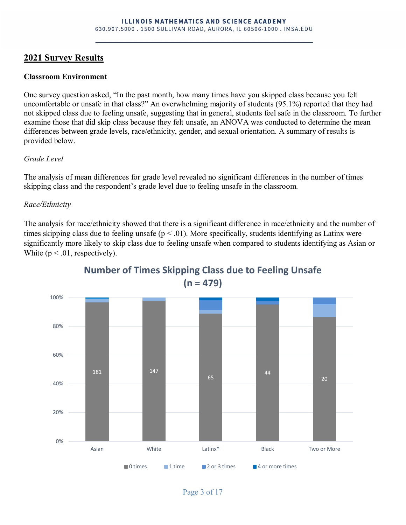## **2021 Survey Results**

#### **Classroom Environment**

One survey question asked, "In the past month, how many times have you skipped class because you felt uncomfortable or unsafe in that class?" An overwhelming majority of students (95.1%) reported that they had not skipped class due to feeling unsafe, suggesting that in general, students feel safe in the classroom. To further examine those that did skip class because they felt unsafe, an ANOVA was conducted to determine the mean differences between grade levels, race/ethnicity, gender, and sexual orientation. A summary of results is provided below.

#### *Grade Level*

The analysis of mean differences for grade level revealed no significant differences in the number of times skipping class and the respondent's grade level due to feeling unsafe in the classroom.

### *Race/Ethnicity*

The analysis for race/ethnicity showed that there is a significant difference in race/ethnicity and the number of times skipping class due to feeling unsafe ( $p < .01$ ). More specifically, students identifying as Latinx were significantly more likely to skip class due to feeling unsafe when compared to students identifying as Asian or White  $(p < .01$ , respectively).



## **Number of Times Skipping Class due to Feeling Unsafe (n = 479)**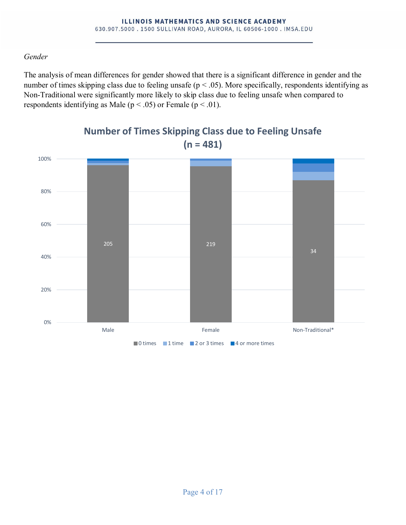### *Gender*

The analysis of mean differences for gender showed that there is a significant difference in gender and the number of times skipping class due to feeling unsafe ( $p < .05$ ). More specifically, respondents identifying as Non-Traditional were significantly more likely to skip class due to feeling unsafe when compared to respondents identifying as Male ( $p < .05$ ) or Female ( $p < .01$ ).



## **Number of Times Skipping Class due to Feeling Unsafe (n = 481)**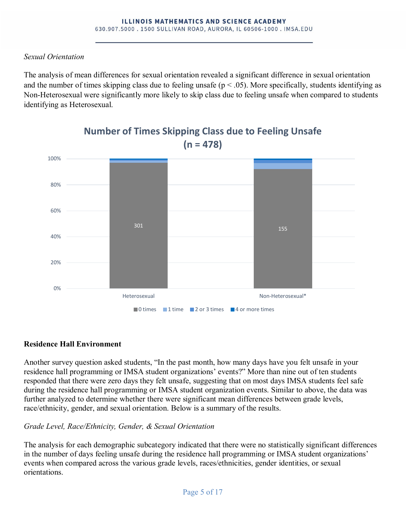### *Sexual Orientation*

The analysis of mean differences for sexual orientation revealed a significant difference in sexual orientation and the number of times skipping class due to feeling unsafe ( $p < .05$ ). More specifically, students identifying as Non-Heterosexual were significantly more likely to skip class due to feeling unsafe when compared to students identifying as Heterosexual.



## **Number of Times Skipping Class due to Feeling Unsafe (n = 478)**

## **Residence Hall Environment**

Another survey question asked students, "In the past month, how many days have you felt unsafe in your residence hall programming or IMSA student organizations' events?" More than nine out of ten students responded that there were zero days they felt unsafe, suggesting that on most days IMSA students feel safe during the residence hall programming or IMSA student organization events. Similar to above, the data was further analyzed to determine whether there were significant mean differences between grade levels, race/ethnicity, gender, and sexual orientation. Below is a summary of the results.

### *Grade Level, Race/Ethnicity, Gender, & Sexual Orientation*

The analysis for each demographic subcategory indicated that there were no statistically significant differences in the number of days feeling unsafe during the residence hall programming or IMSA student organizations' events when compared across the various grade levels, races/ethnicities, gender identities, or sexual orientations.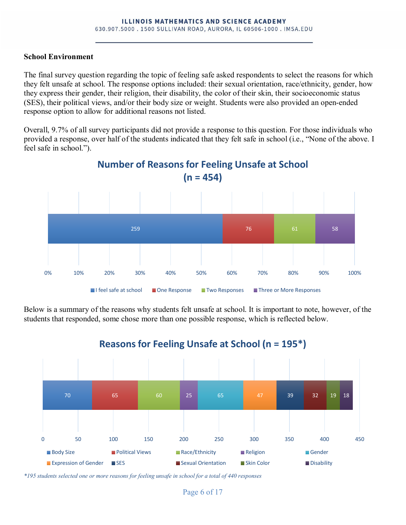#### **School Environment**

The final survey question regarding the topic of feeling safe asked respondents to select the reasons for which they felt unsafe at school. The response options included: their sexual orientation, race/ethnicity, gender, how they express their gender, their religion, their disability, the color of their skin, their socioeconomic status (SES), their political views, and/or their body size or weight. Students were also provided an open-ended response option to allow for additional reasons not listed.

Overall, 9.7% of all survey participants did not provide a response to this question. For those individuals who provided a response, over half of the students indicated that they felt safe in school (i.e., "None of the above. I feel safe in school.").



**Number of Reasons for Feeling Unsafe at School**

Below is a summary of the reasons why students felt unsafe at school. It is important to note, however, of the students that responded, some chose more than one possible response, which is reflected below.



**Reasons for Feeling Unsafe at School (n = 195\*)**

*\*195 students selected one or more reasons for feeling unsafe in school for a total of 440 responses*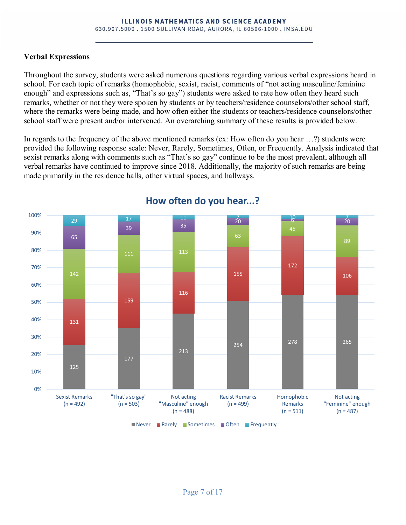### **Verbal Expressions**

Throughout the survey, students were asked numerous questions regarding various verbal expressions heard in school. For each topic of remarks (homophobic, sexist, racist, comments of "not acting masculine/feminine enough" and expressions such as, "That's so gay") students were asked to rate how often they heard such remarks, whether or not they were spoken by students or by teachers/residence counselors/other school staff, where the remarks were being made, and how often either the students or teachers/residence counselors/other school staff were present and/or intervened. An overarching summary of these results is provided below.

In regards to the frequency of the above mentioned remarks (ex: How often do you hear …?) students were provided the following response scale: Never, Rarely, Sometimes, Often, or Frequently. Analysis indicated that sexist remarks along with comments such as "That's so gay" continue to be the most prevalent, although all verbal remarks have continued to improve since 2018. Additionally, the majority of such remarks are being made primarily in the residence halls, other virtual spaces, and hallways.



## **How often do you hear...?**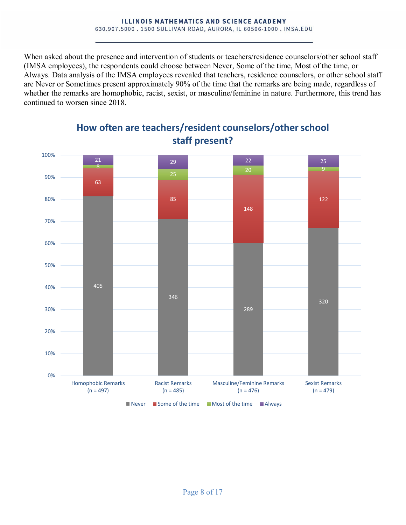When asked about the presence and intervention of students or teachers/residence counselors/other school staff (IMSA employees), the respondents could choose between Never, Some of the time, Most of the time, or Always. Data analysis of the IMSA employees revealed that teachers, residence counselors, or other school staff are Never or Sometimes present approximately 90% of the time that the remarks are being made, regardless of whether the remarks are homophobic, racist, sexist, or masculine/feminine in nature. Furthermore, this trend has continued to worsen since 2018.



## **How often are teachers/resident counselors/other school staff present?**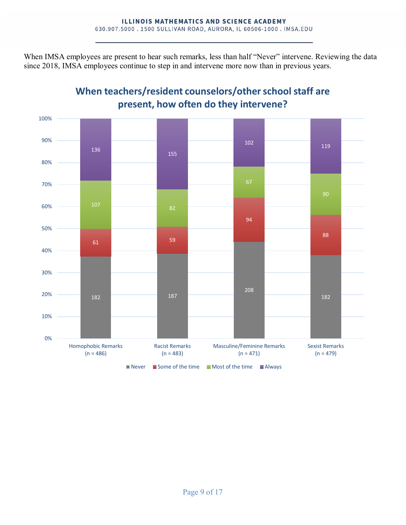When IMSA employees are present to hear such remarks, less than half "Never" intervene. Reviewing the data since 2018, IMSA employees continue to step in and intervene more now than in previous years.



# **When teachers/resident counselors/other school staff are present, how often do they intervene?**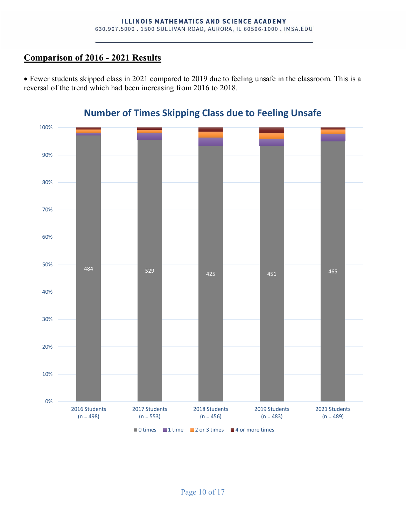## **Comparison of 2016 - 2021 Results**

• Fewer students skipped class in 2021 compared to 2019 due to feeling unsafe in the classroom. This is a reversal of the trend which had been increasing from 2016 to 2018.



## **Number of Times Skipping Class due to Feeling Unsafe**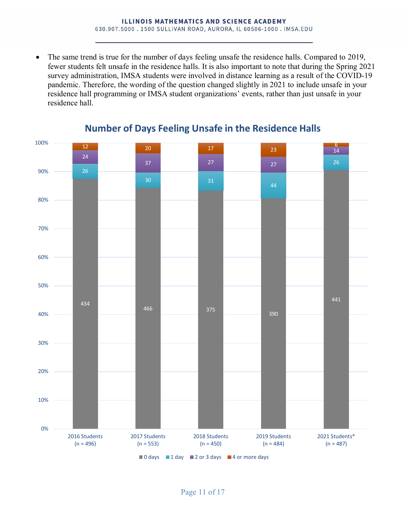The same trend is true for the number of days feeling unsafe the residence halls. Compared to 2019, fewer students felt unsafe in the residence halls. It is also important to note that during the Spring 2021 survey administration, IMSA students were involved in distance learning as a result of the COVID-19 pandemic. Therefore, the wording of the question changed slightly in 2021 to include unsafe in your residence hall programming or IMSA student organizations' events, rather than just unsafe in your residence hall.



## **Number of Days Feeling Unsafe in the Residence Halls**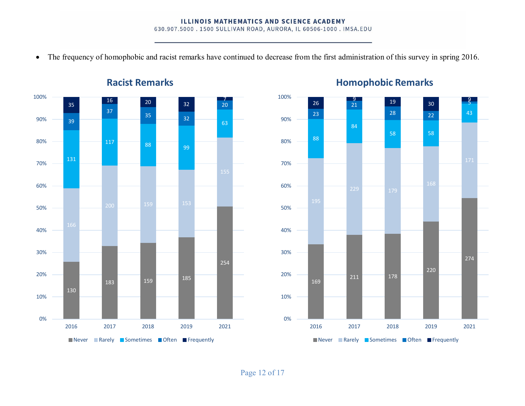630.907.5000.1500 SULLIVAN ROAD, AURORA, IL 60506-1000. IMSA.EDU

• The frequency of homophobic and racist remarks have continued to decrease from the first administration of this survey in spring 2016.



**Racist Remarks**



## **Homophobic Remarks**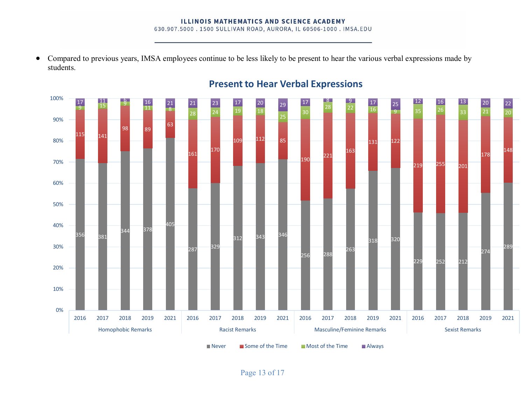#### **ILLINOIS MATHEMATICS AND SCIENCE ACADEMY**

630.907.5000 . 1500 SULLIVAN ROAD, AURORA, IL 60506-1000 . IMSA.EDU

• Compared to previous years, IMSA employees continue to be less likely to be present to hear the various verbal expressions made by students.



# **Present to Hear Verbal Expressions**

Page 13 of 17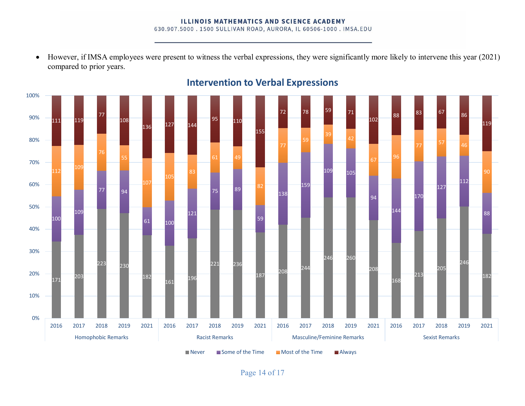#### **ILLINOIS MATHEMATICS AND SCIENCE ACADEMY** 630.907.5000 . 1500 SULLIVAN ROAD, AURORA, IL 60506-1000 . IMSA.EDU

• However, if IMSA employees were present to witness the verbal expressions, they were significantly more likely to intervene this year (2021) compared to prior years.



## **Intervention to Verbal Expressions**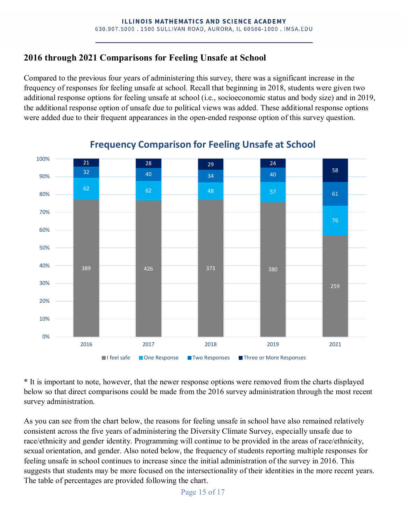## **2016 through 2021 Comparisons for Feeling Unsafe at School**

Compared to the previous four years of administering this survey, there was a significant increase in the frequency of responses for feeling unsafe at school. Recall that beginning in 2018, students were given two additional response options for feeling unsafe at school (i.e., socioeconomic status and body size) and in 2019, the additional response option of unsafe due to political views was added. These additional response options were added due to their frequent appearances in the open-ended response option of this survey question.



## **Frequency Comparison for Feeling Unsafe at School**

\* It is important to note, however, that the newer response options were removed from the charts displayed below so that direct comparisons could be made from the 2016 survey administration through the most recent survey administration.

As you can see from the chart below, the reasons for feeling unsafe in school have also remained relatively consistent across the five years of administering the Diversity Climate Survey, especially unsafe due to race/ethnicity and gender identity. Programming will continue to be provided in the areas of race/ethnicity, sexual orientation, and gender. Also noted below, the frequency of students reporting multiple responses for feeling unsafe in school continues to increase since the initial administration of the survey in 2016. This suggests that students may be more focused on the intersectionality of their identities in the more recent years. The table of percentages are provided following the chart.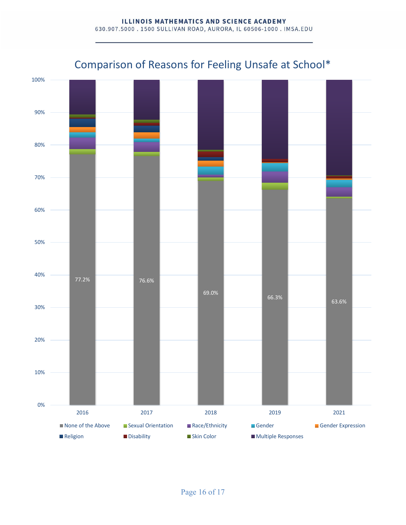#### **ILLINOIS MATHEMATICS AND SCIENCE ACADEMY** 630.907.5000 . 1500 SULLIVAN ROAD, AURORA, IL 60506-1000 . IMSA.EDU



# Comparison of Reasons for Feeling Unsafe at School\*